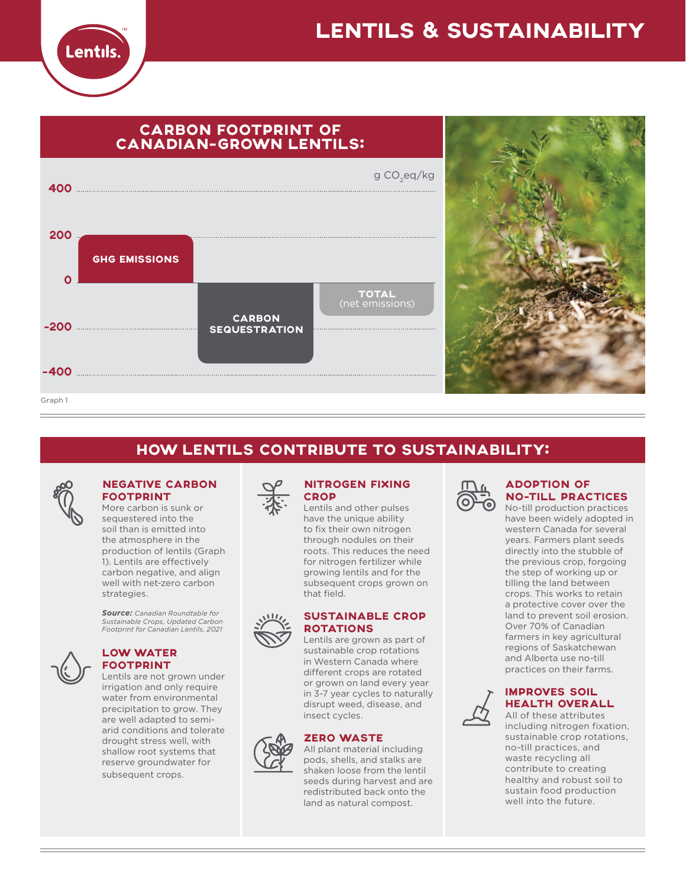

# LENTILS & SUSTAINABILITY



# HOW LENTILS CONTRIBUTE TO SUSTAINABILITY:



### NEGATIVE CARBON FOOTPRINT

More carbon is sunk or sequestered into the soil than is emitted into the atmosphere in the production of lentils (Graph 1). Lentils are effectively carbon negative, and align well with net-zero carbon strategies.

*Source: Canadian Roundtable for Sustainable Crops, Updated Carbon Footprint for Canadian Lentils, 2021* 



### LOW WATER FOOTPRINT

Lentils are not grown under irrigation and only require water from environmental precipitation to grow. They are well adapted to semiarid conditions and tolerate drought stress well, with shallow root systems that reserve groundwater for subsequent crops.



### NITROGEN FIXING **CROP**

Lentils and other pulses have the unique ability to fix their own nitrogen through nodules on their roots. This reduces the need for nitrogen fertilizer while growing lentils and for the subsequent crops grown on that field.

## SUSTAINABLE CROP ROTATIONS

Lentils are grown as part of sustainable crop rotations in Western Canada where different crops are rotated or grown on land every year in 3-7 year cycles to naturally disrupt weed, disease, and insect cycles.

## ZERO WASTE



All plant material including pods, shells, and stalks are shaken loose from the lentil seeds during harvest and are redistributed back onto the land as natural compost.



## ADOPTION OF NO-TILL PRACTICES

No-till production practices have been widely adopted in western Canada for several years. Farmers plant seeds directly into the stubble of the previous crop, forgoing the step of working up or tilling the land between crops. This works to retain a protective cover over the land to prevent soil erosion. Over 70% of Canadian farmers in key agricultural regions of Saskatchewan and Alberta use no-till practices on their farms.



## IMPROVES SOIL HEALTH OVERALL